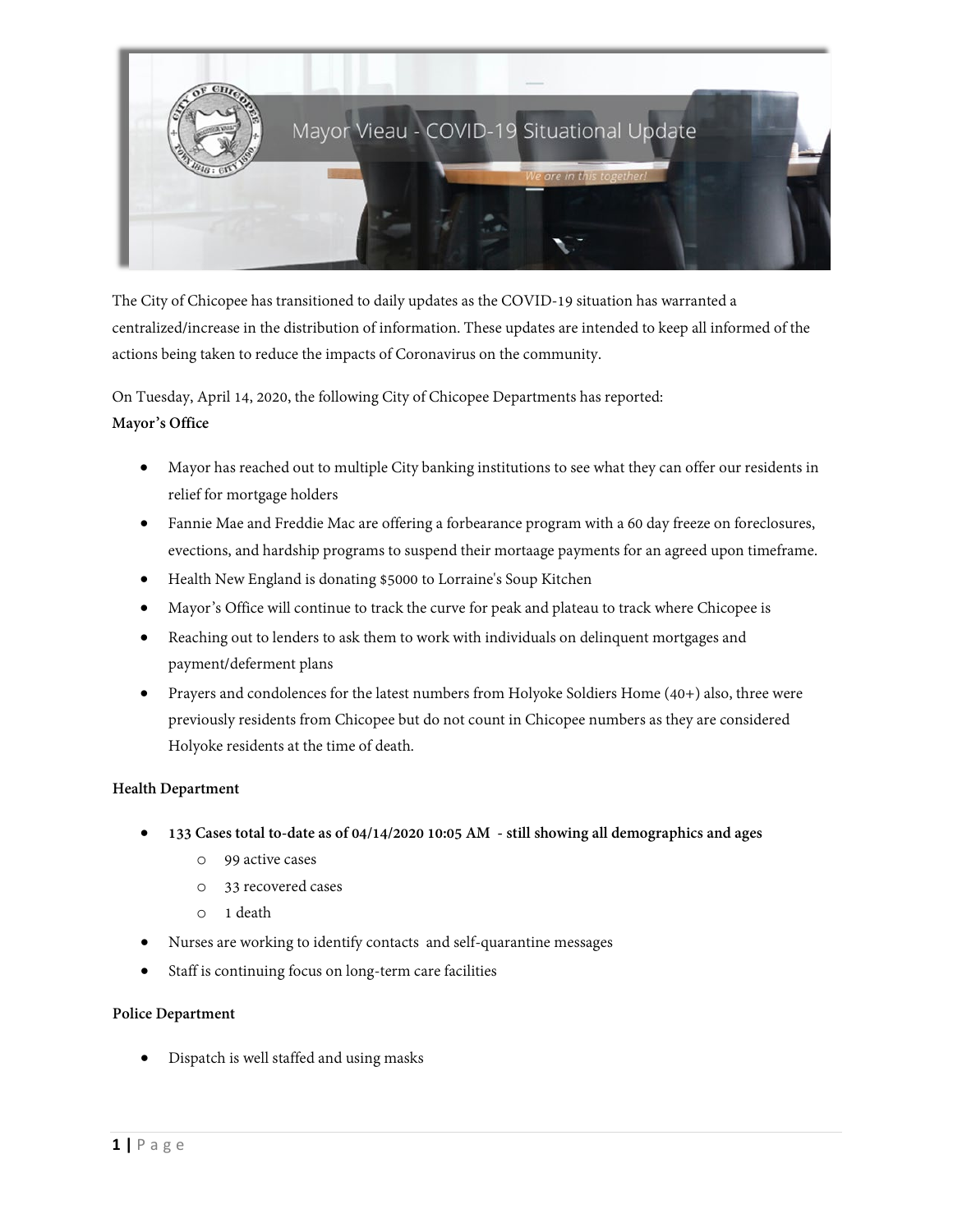

The City of Chicopee has transitioned to daily updates as the COVID-19 situation has warranted a centralized/increase in the distribution of information. These updates are intended to keep all informed of the actions being taken to reduce the impacts of Coronavirus on the community.

On Tuesday, April 14, 2020, the following City of Chicopee Departments has reported:

# **Mayor's Office**

- Mayor has reached out to multiple City banking institutions to see what they can offer our residents in relief for mortgage holders
- Fannie Mae and Freddie Mac are offering a forbearance program with a 60 day freeze on foreclosures, evections, and hardship programs to suspend their mortaage payments for an agreed upon timeframe.
- Health New England is donating \$5000 to Lorraine's Soup Kitchen
- Mayor's Office will continue to track the curve for peak and plateau to track where Chicopee is
- Reaching out to lenders to ask them to work with individuals on delinquent mortgages and payment/deferment plans
- Prayers and condolences for the latest numbers from Holyoke Soldiers Home (40+) also, three were previously residents from Chicopee but do not count in Chicopee numbers as they are considered Holyoke residents at the time of death.

# **Health Department**

- **133 Cases total to-date as of 04/14/2020 10:05 AM - still showing all demographics and ages**
	- o 99 active cases
	- o 33 recovered cases
	- o 1 death
- Nurses are working to identify contacts and self-quarantine messages
- Staff is continuing focus on long-term care facilities

# **Police Department**

• Dispatch is well staffed and using masks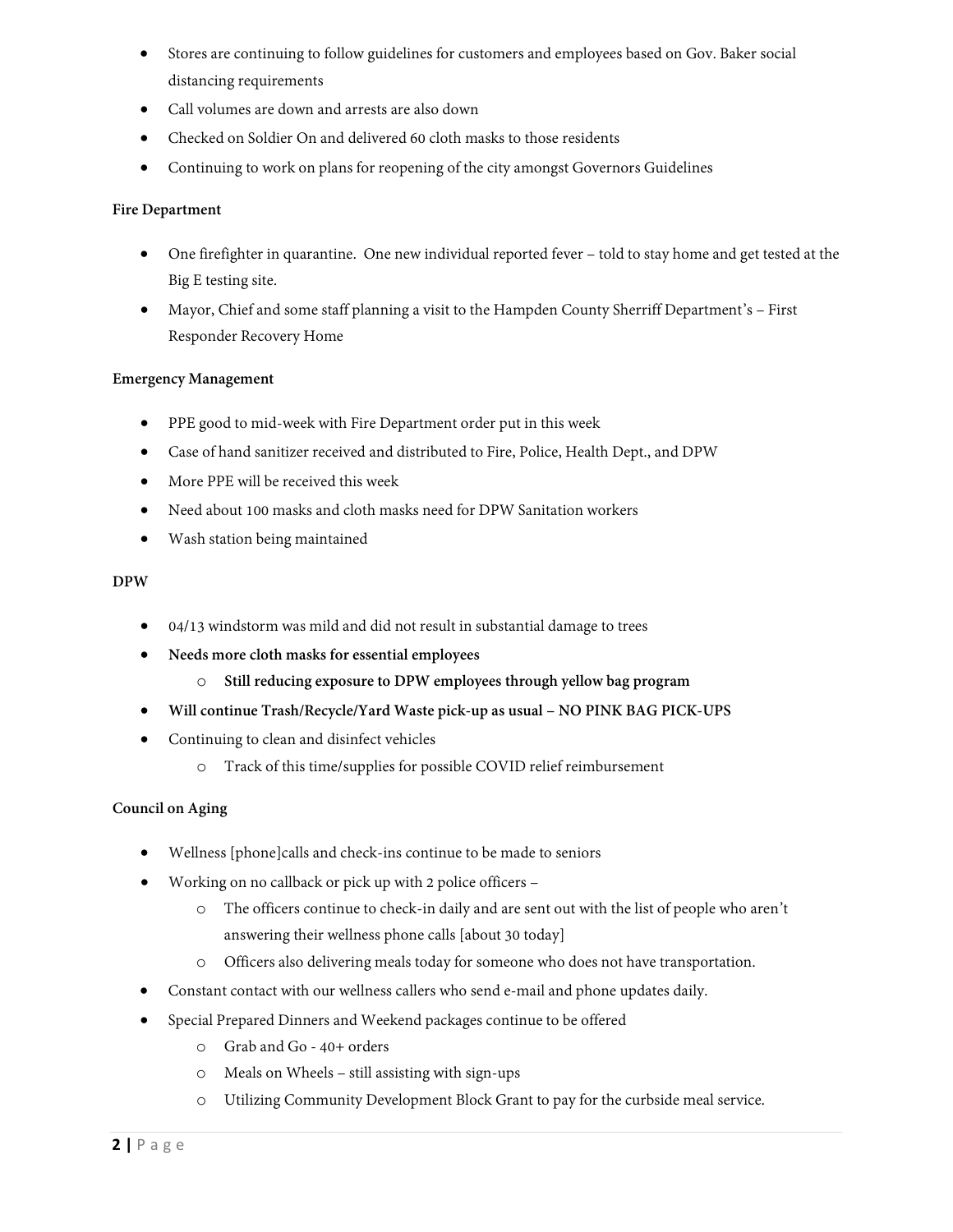- Stores are continuing to follow guidelines for customers and employees based on Gov. Baker social distancing requirements
- Call volumes are down and arrests are also down
- Checked on Soldier On and delivered 60 cloth masks to those residents
- Continuing to work on plans for reopening of the city amongst Governors Guidelines

### **Fire Department**

- One firefighter in quarantine. One new individual reported fever told to stay home and get tested at the Big E testing site.
- Mayor, Chief and some staff planning a visit to the Hampden County Sherriff Department's First Responder Recovery Home

### **Emergency Management**

- PPE good to mid-week with Fire Department order put in this week
- Case of hand sanitizer received and distributed to Fire, Police, Health Dept., and DPW
- More PPE will be received this week
- Need about 100 masks and cloth masks need for DPW Sanitation workers
- Wash station being maintained

### **DPW**

- 04/13 windstorm was mild and did not result in substantial damage to trees
- **Needs more cloth masks for essential employees**
	- o **Still reducing exposure to DPW employees through yellow bag program**
- **Will continue Trash/Recycle/Yard Waste pick-up as usual – NO PINK BAG PICK-UPS**
- Continuing to clean and disinfect vehicles
	- o Track of this time/supplies for possible COVID relief reimbursement

#### **Council on Aging**

- Wellness [phone]calls and check-ins continue to be made to seniors
- Working on no callback or pick up with 2 police officers
	- o The officers continue to check-in daily and are sent out with the list of people who aren't answering their wellness phone calls [about 30 today]
	- o Officers also delivering meals today for someone who does not have transportation.
- Constant contact with our wellness callers who send e-mail and phone updates daily.
- Special Prepared Dinners and Weekend packages continue to be offered
	- o Grab and Go 40+ orders
	- o Meals on Wheels still assisting with sign-ups
	- o Utilizing Community Development Block Grant to pay for the curbside meal service.